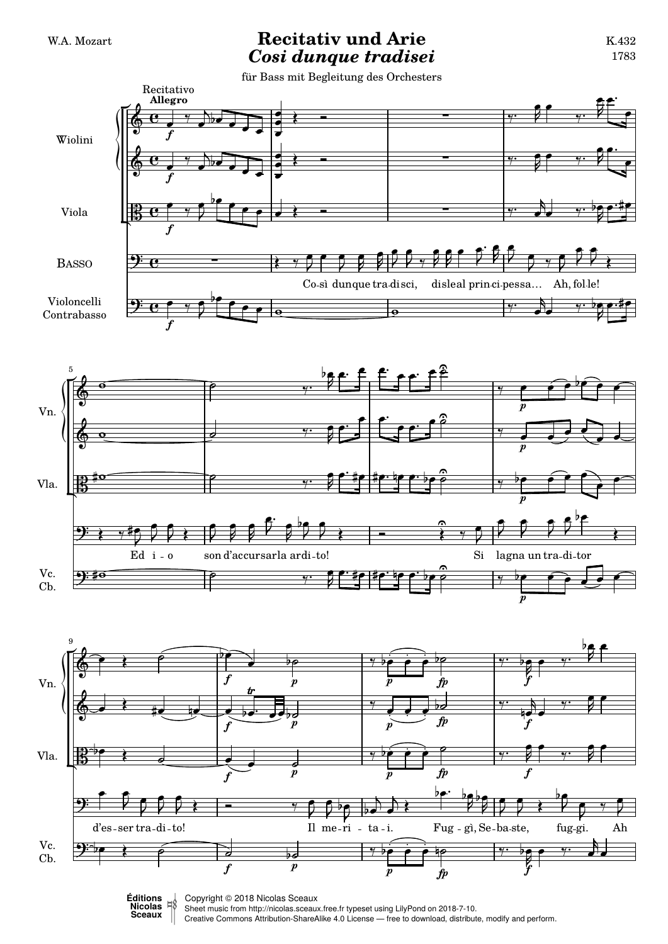## W.A. Mozart **Recitativ und Arie** *Cosi dunque tradisei*

für Bass mit Begleitung des Orchesters







Sheet music from<http://nicolas.sceaux.free.fr> typeset using [LilyPond](http://lilypond.org) on 2018-7-10.

Creative Commons Attribution-ShareAlike 4.0 License — free to download, distribute, modify and perform.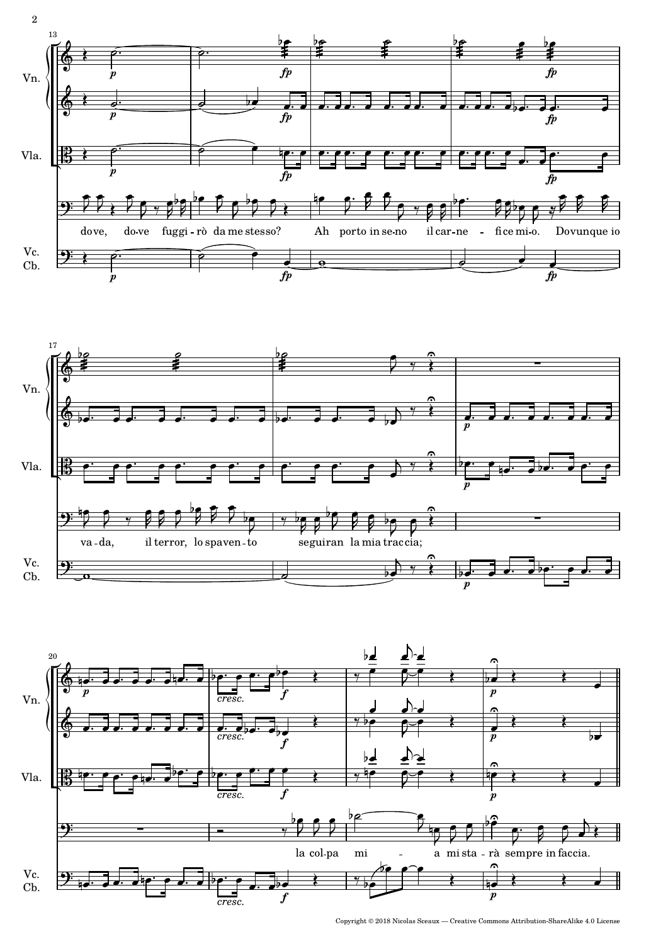





Copyright © 2018 Nicolas Sceaux — Creative Commons Attribution-ShareAlike 4.0 License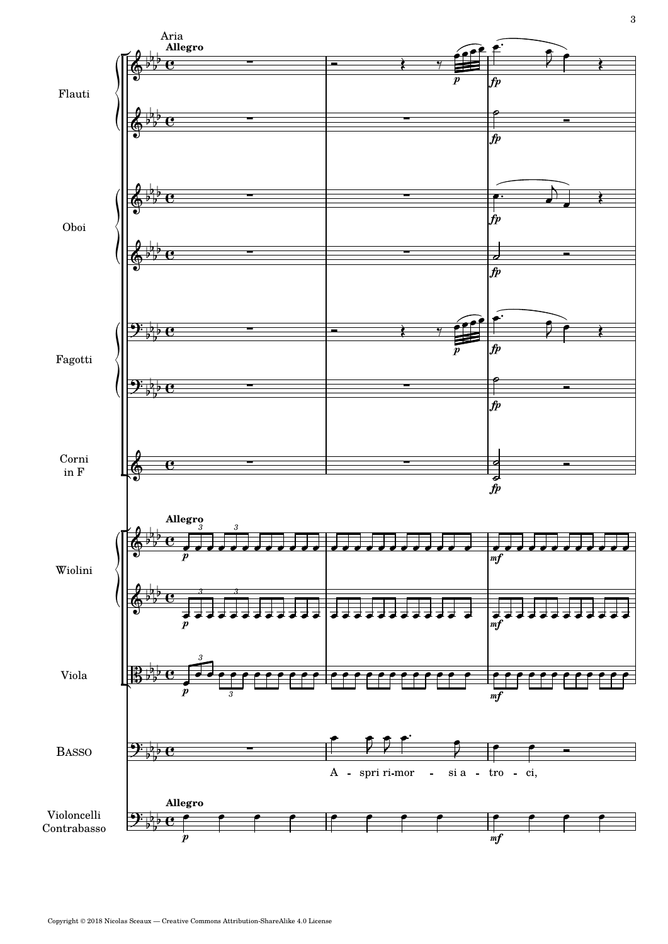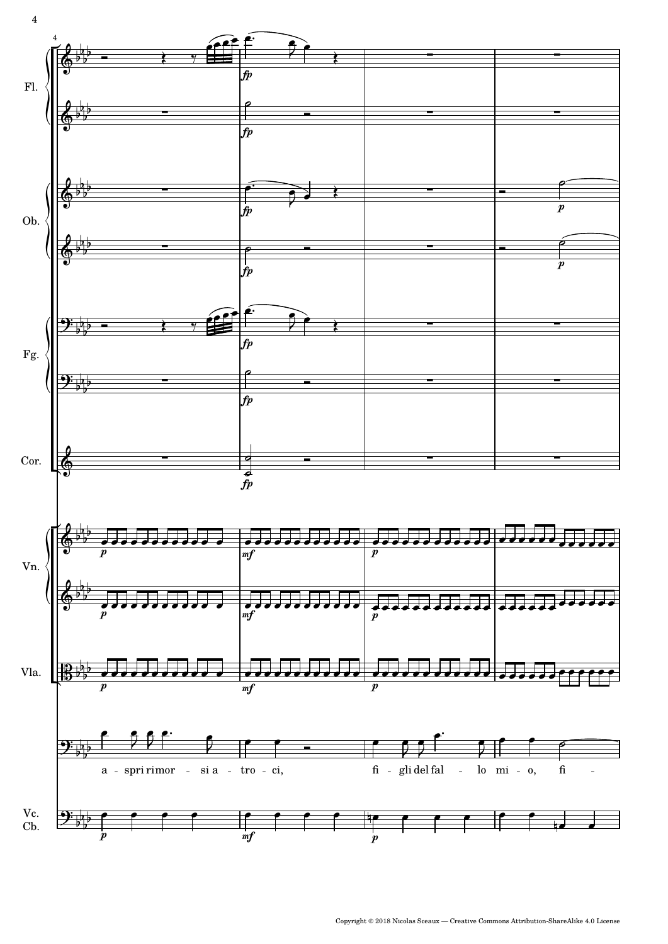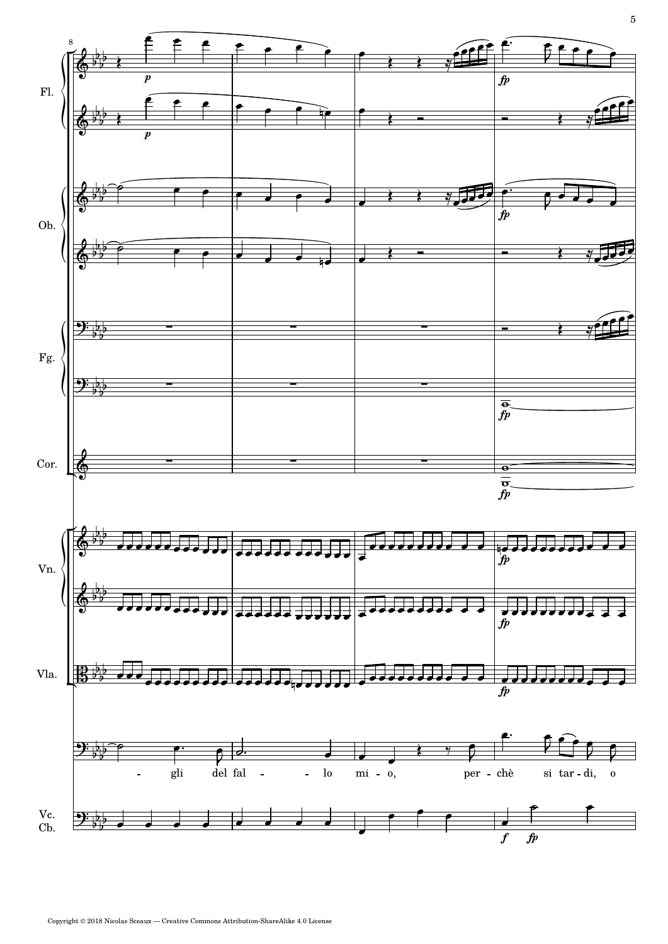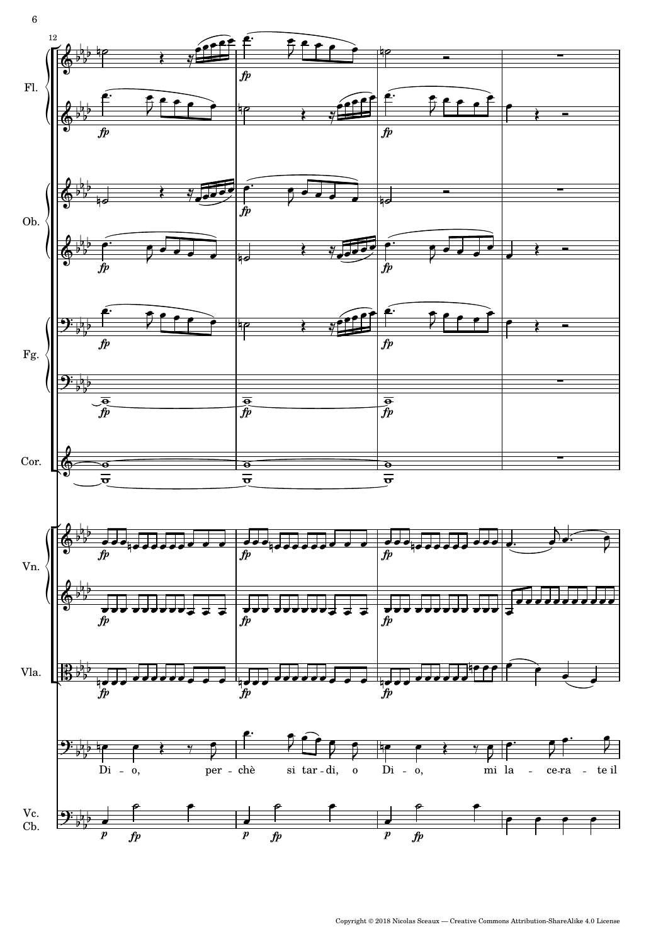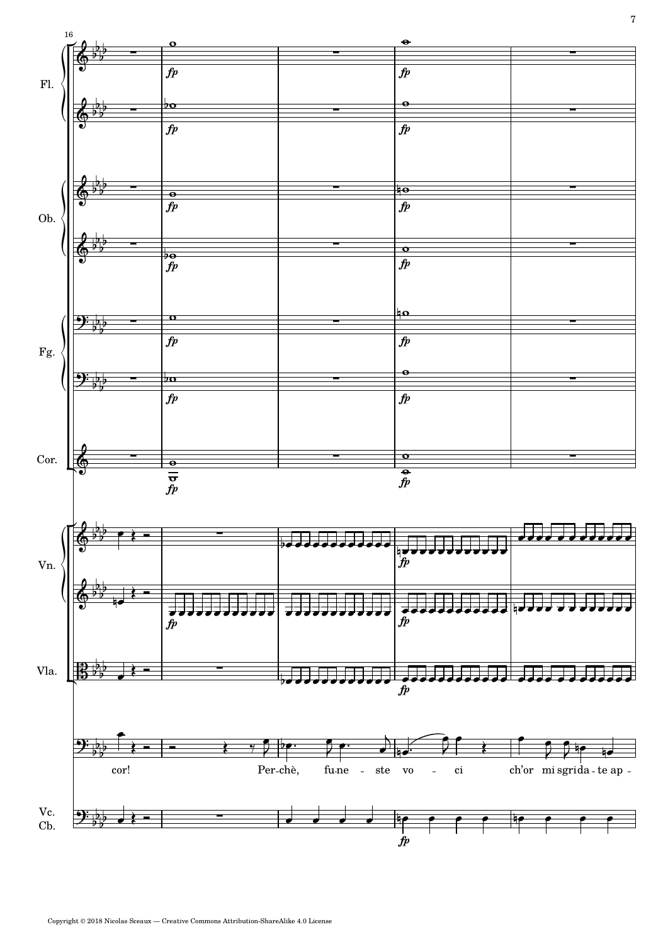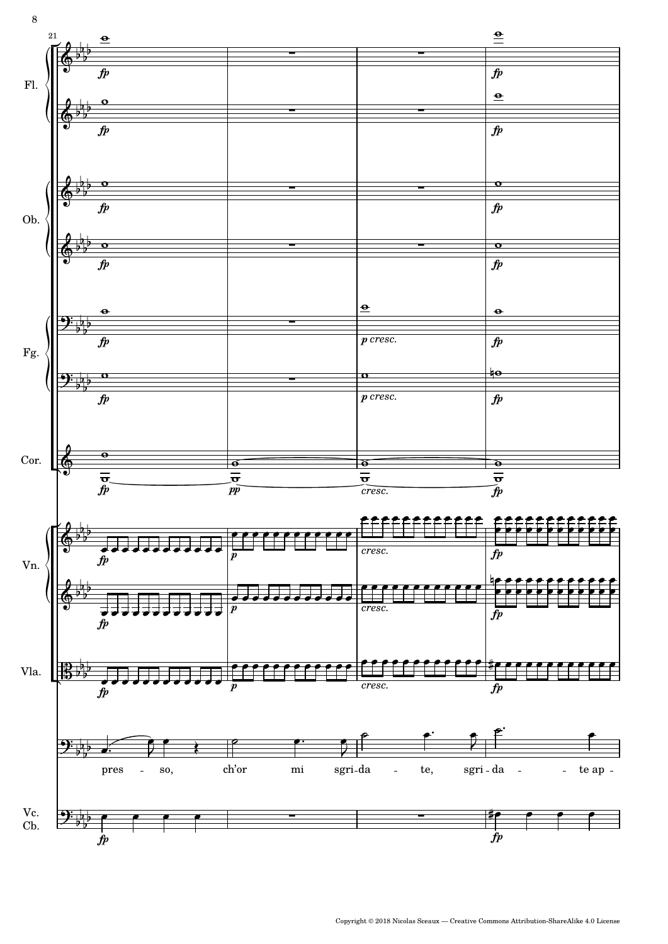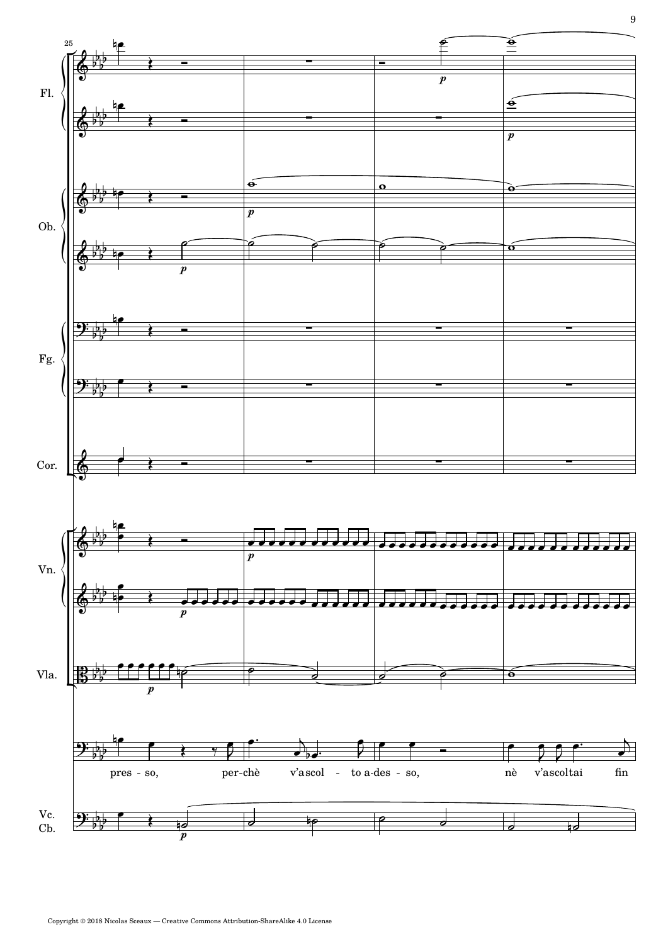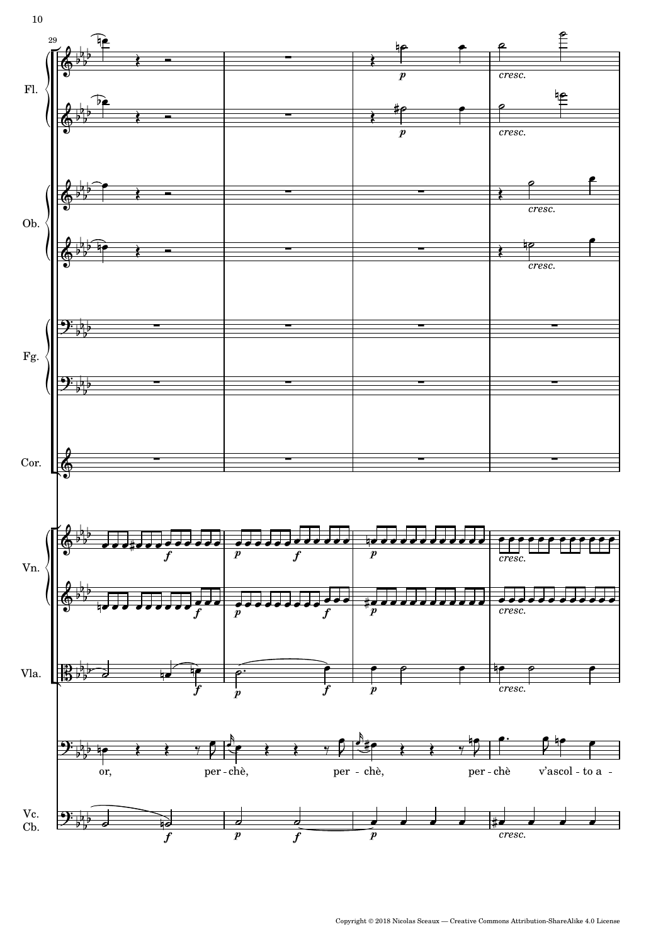

Copyright © 2018 Nicolas Sceaux — Creative Commons Attribution-ShareAlike 4.0 License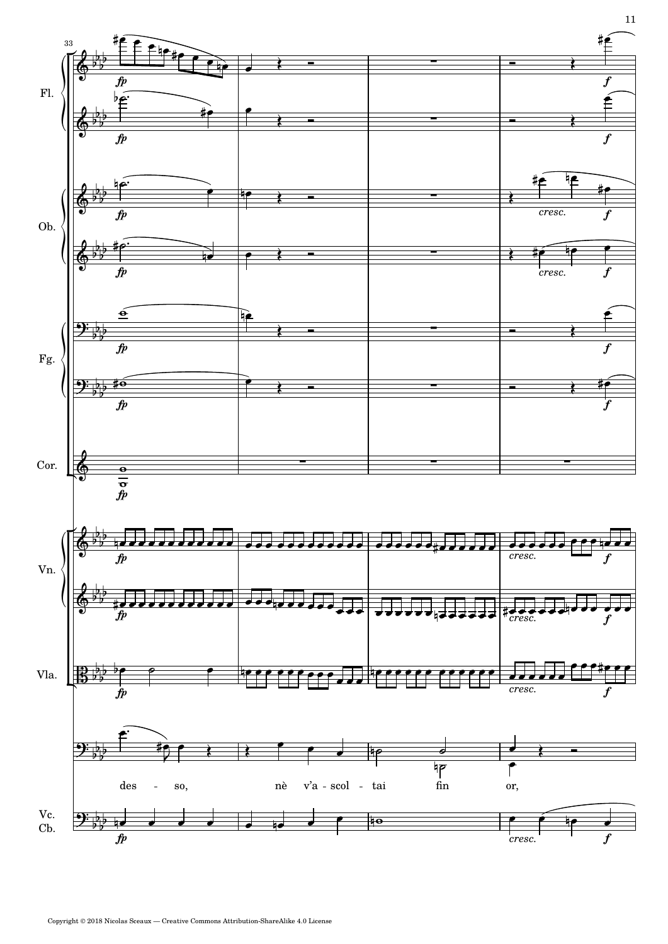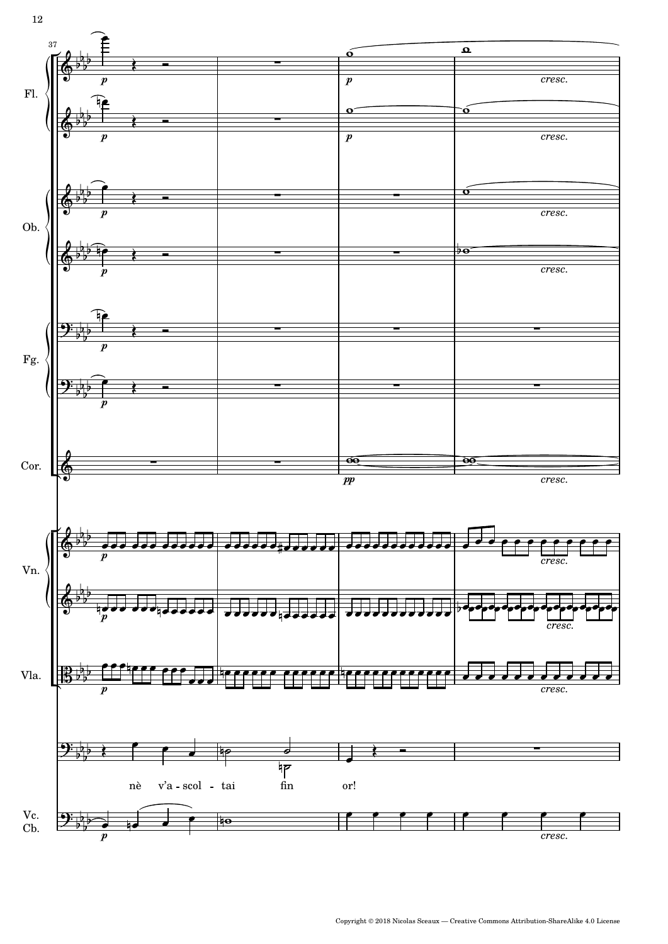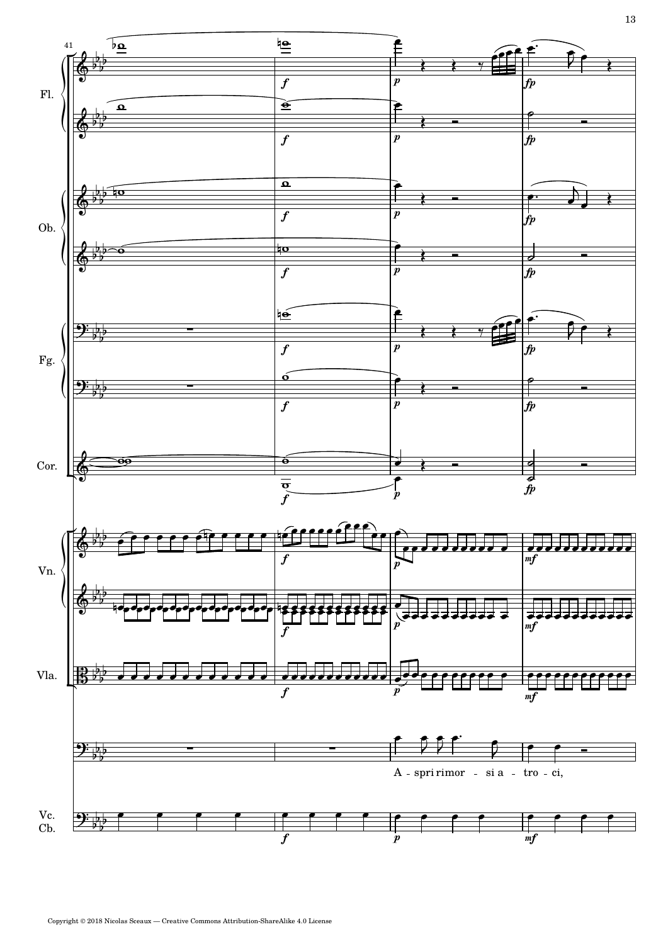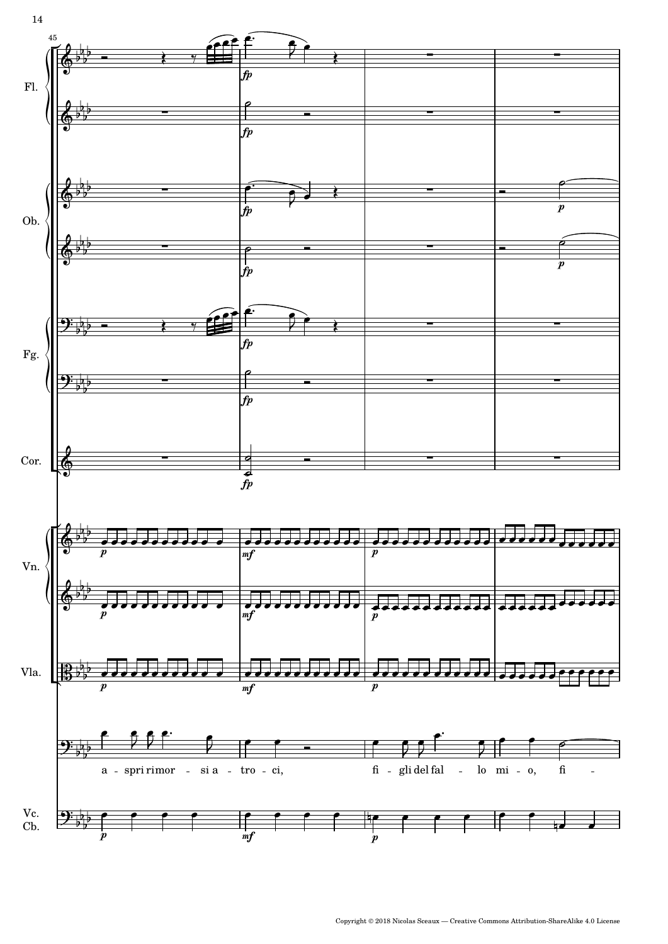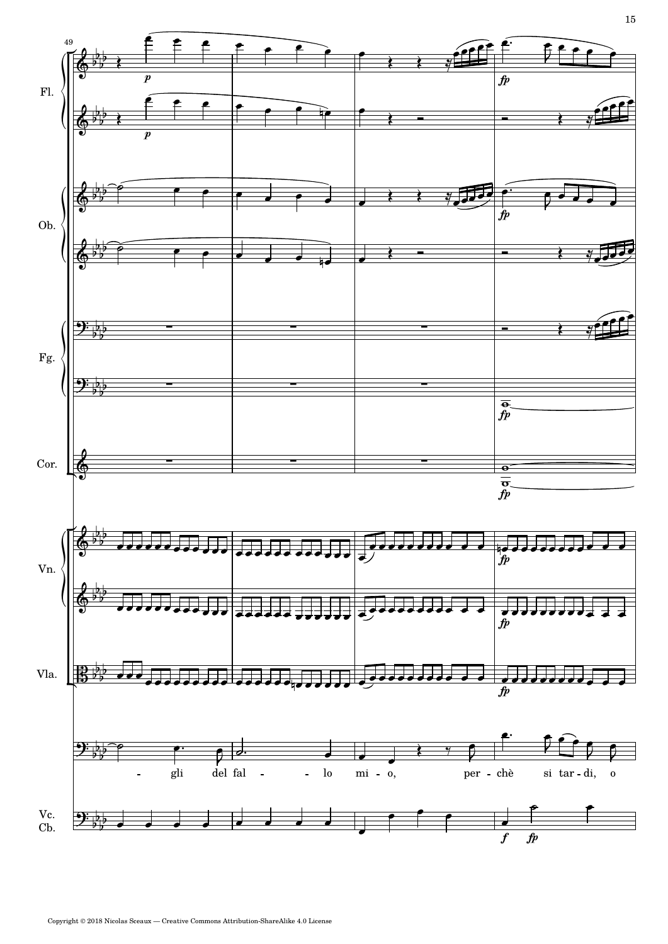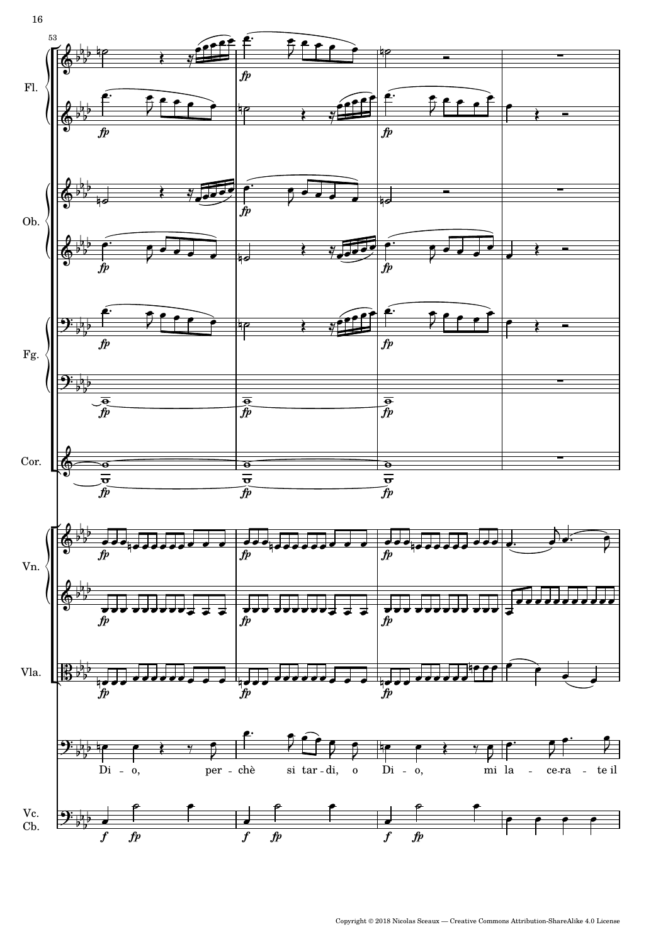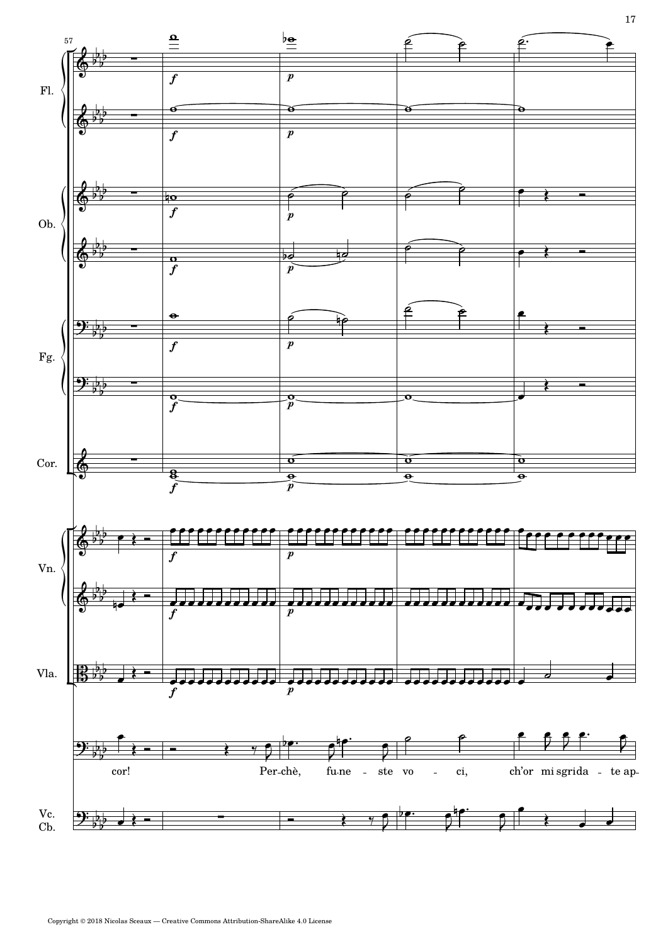

Copyright © 2018 Nicolas Sceaux — Creative Commons Attribution-ShareAlike 4.0 License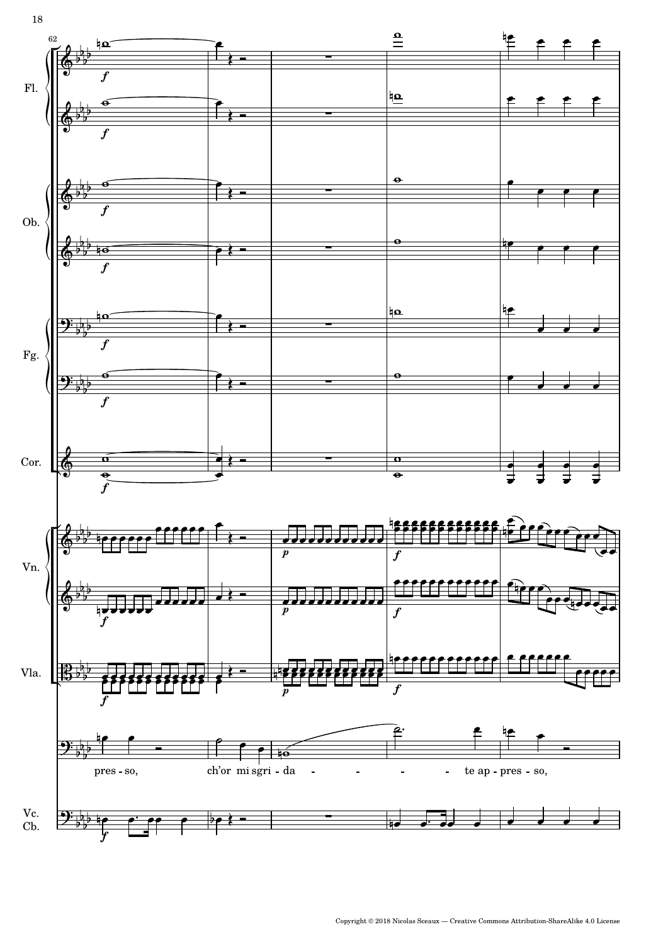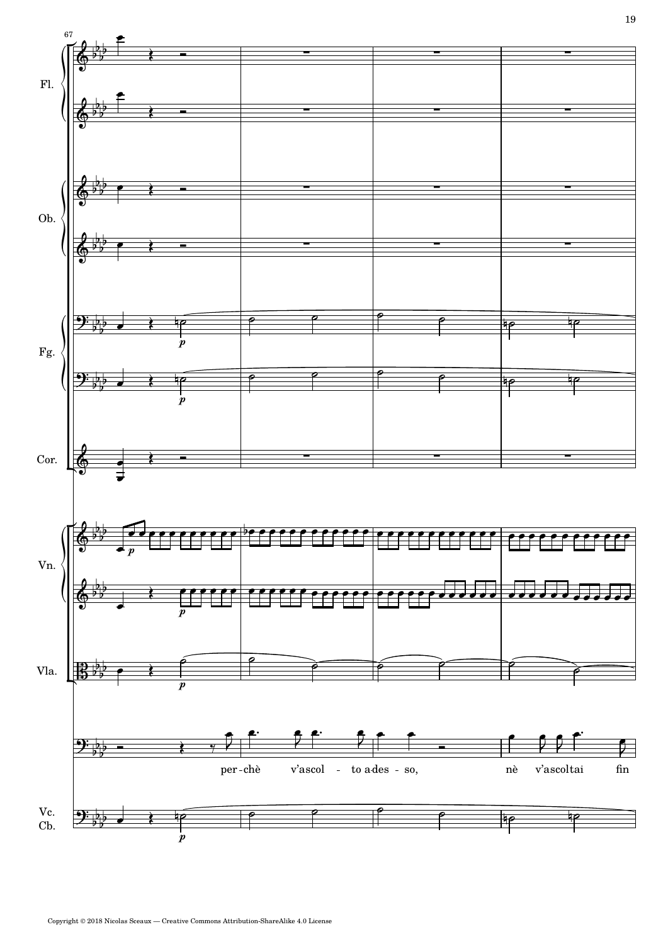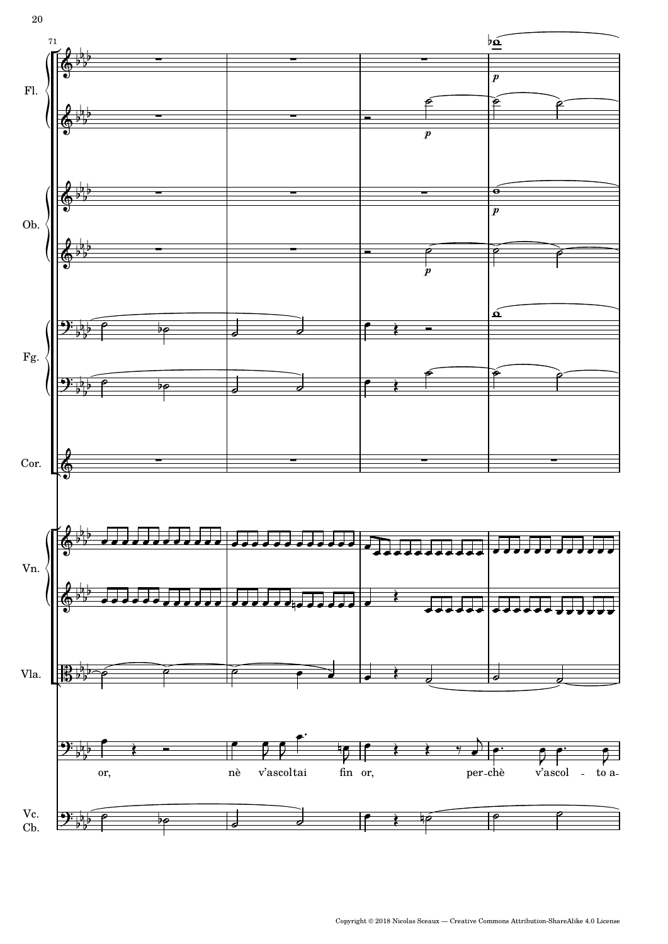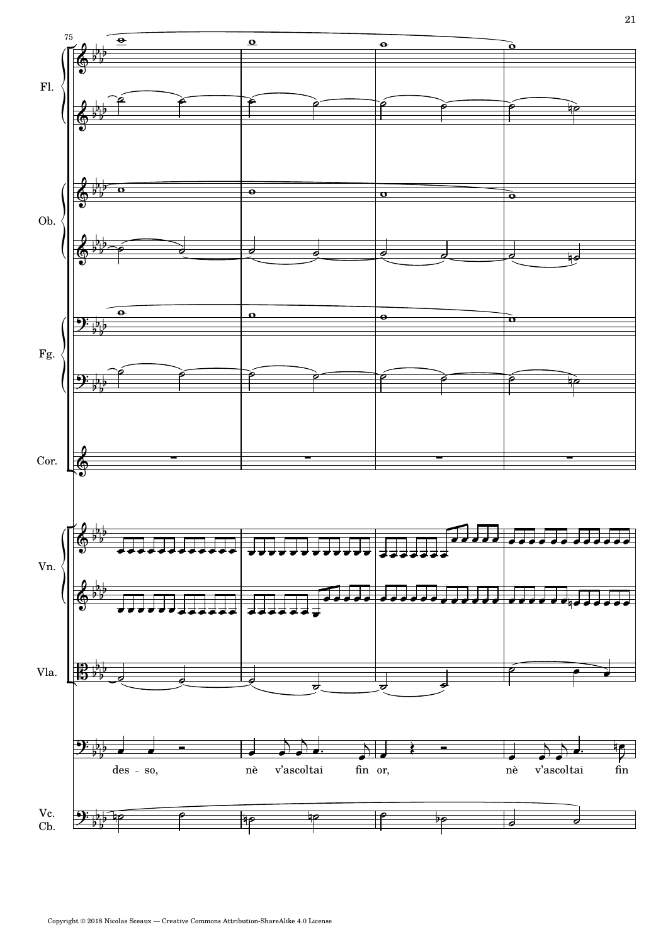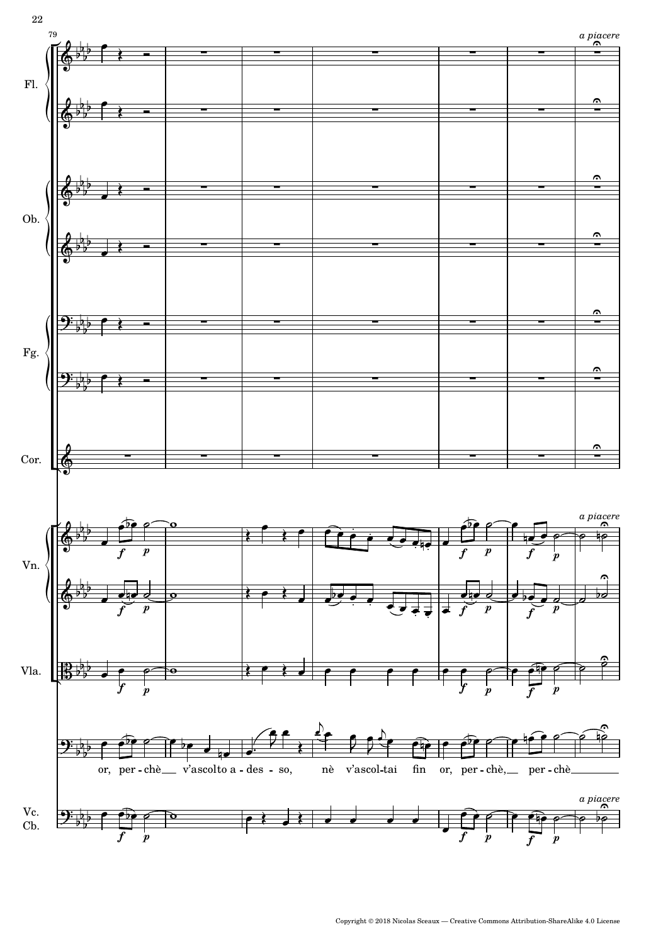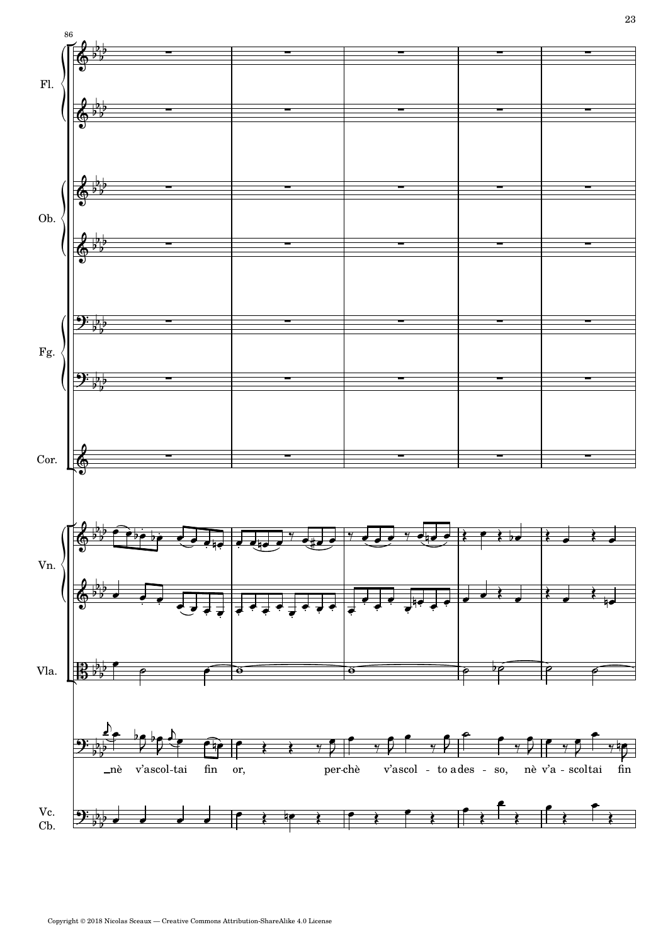